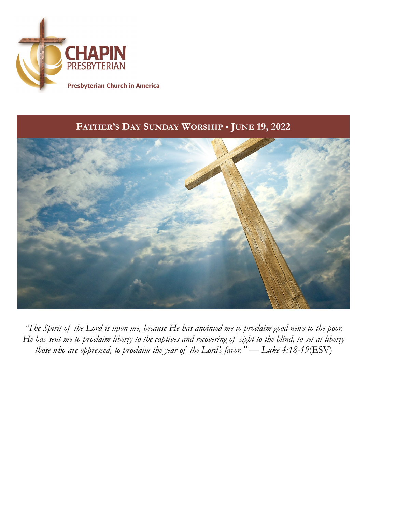

## **FATHER'S DAY SUNDAY WORSHIP** *•* **JUNE 19, 2022**



*"The Spirit of the Lord is upon me, because He has anointed me to proclaim good news to the poor. He has sent me to proclaim liberty to the captives and recovering of sight to the blind, to set at liberty those who are oppressed, to proclaim the year of the Lord's favor." — Luke 4:18-19*(ESV)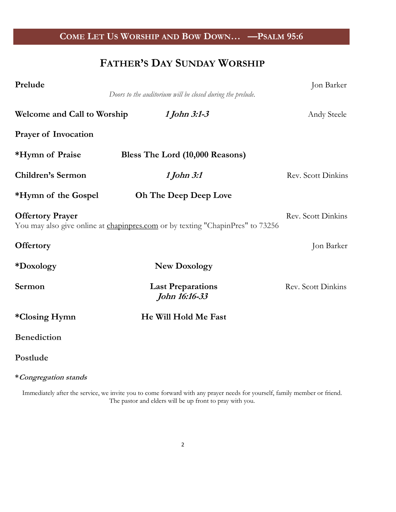## **COME LET US WORSHIP AND BOW DOWN… —PSALM 95:6**

# **FATHER'S DAY SUNDAY WORSHIP**

| Prelude                            | Doors to the auditorium will be closed during the prelude.                     | Jon Barker                |
|------------------------------------|--------------------------------------------------------------------------------|---------------------------|
| <b>Welcome and Call to Worship</b> | 1 John 3:1-3                                                                   | Andy Steele               |
| <b>Prayer of Invocation</b>        |                                                                                |                           |
| *Hymn of Praise                    | Bless The Lord (10,000 Reasons)                                                |                           |
| <b>Children's Sermon</b>           | 1 John 3:1                                                                     | Rev. Scott Dinkins        |
| *Hymn of the Gospel                | <b>Oh The Deep Deep Love</b>                                                   |                           |
| <b>Offertory Prayer</b>            | You may also give online at chapinpres.com or by texting "ChapinPres" to 73256 | <b>Rev.</b> Scott Dinkins |
| <b>Offertory</b>                   |                                                                                | Jon Barker                |
| *Doxology                          | <b>New Doxology</b>                                                            |                           |
| Sermon                             | <b>Last Preparations</b><br>John 16:16-33                                      | Rev. Scott Dinkins        |
| *Closing Hymn                      | He Will Hold Me Fast                                                           |                           |
| <b>Benediction</b>                 |                                                                                |                           |
| Postlude                           |                                                                                |                           |

**\*Congregation stands**

Immediately after the service, we invite you to come forward with any prayer needs for yourself, family member or friend. The pastor and elders will be up front to pray with you.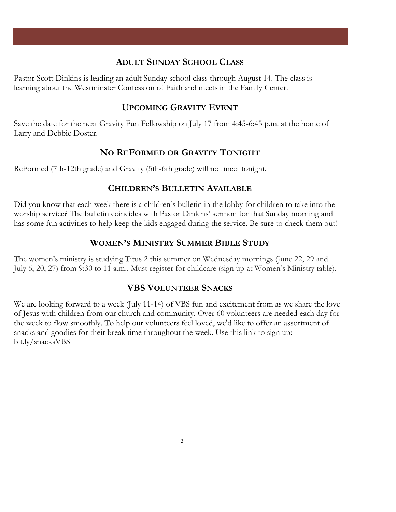### **ADULT SUNDAY SCHOOL CLASS**

Pastor Scott Dinkins is leading an adult Sunday school class through August 14. The class is learning about the Westminster Confession of Faith and meets in the Family Center.

### **UPCOMING GRAVITY EVENT**

Save the date for the next Gravity Fun Fellowship on July 17 from 4:45-6:45 p.m. at the home of Larry and Debbie Doster.

### **NO REFORMED OR GRAVITY TONIGHT**

ReFormed (7th-12th grade) and Gravity (5th-6th grade) will not meet tonight.

### **CHILDREN'S BULLETIN AVAILABLE**

Did you know that each week there is a children's bulletin in the lobby for children to take into the worship service? The bulletin coincides with Pastor Dinkins' sermon for that Sunday morning and has some fun activities to help keep the kids engaged during the service. Be sure to check them out!

### **WOMEN'S MINISTRY SUMMER BIBLE STUDY**

The women's ministry is studying Titus 2 this summer on Wednesday mornings (June 22, 29 and July 6, 20, 27) from 9:30 to 11 a.m.. Must register for childcare (sign up at Women's Ministry table).

### **VBS VOLUNTEER SNACKS**

We are looking forward to a week (July 11-14) of VBS fun and excitement from as we share the love of Jesus with children from our church and community. Over 60 volunteers are needed each day for the week to flow smoothly. To help our volunteers feel loved, we'd like to offer an assortment of snacks and goodies for their break time throughout the week. Use this link to sign up: [bit.ly/snacksVBS](https://bit.ly/snacksVBS)